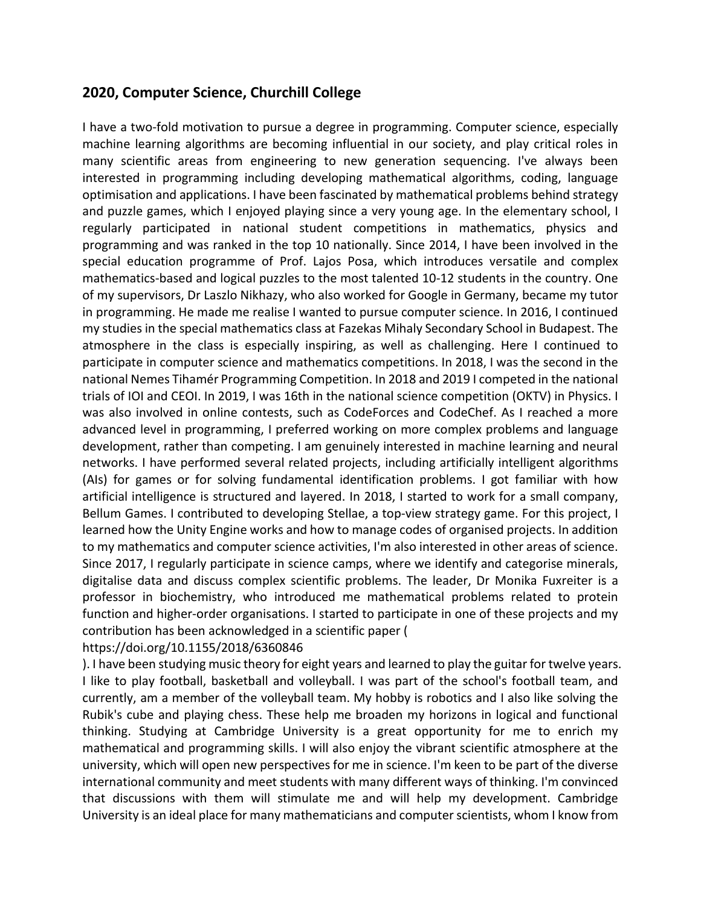## **2020, Computer Science, Churchill College**

I have a two-fold motivation to pursue a degree in programming. Computer science, especially machine learning algorithms are becoming influential in our society, and play critical roles in many scientific areas from engineering to new generation sequencing. I've always been interested in programming including developing mathematical algorithms, coding, language optimisation and applications. I have been fascinated by mathematical problems behind strategy and puzzle games, which I enjoyed playing since a very young age. In the elementary school, I regularly participated in national student competitions in mathematics, physics and programming and was ranked in the top 10 nationally. Since 2014, I have been involved in the special education programme of Prof. Lajos Posa, which introduces versatile and complex mathematics-based and logical puzzles to the most talented 10-12 students in the country. One of my supervisors, Dr Laszlo Nikhazy, who also worked for Google in Germany, became my tutor in programming. He made me realise I wanted to pursue computer science. In 2016, I continued my studies in the special mathematics class at Fazekas Mihaly Secondary School in Budapest. The atmosphere in the class is especially inspiring, as well as challenging. Here I continued to participate in computer science and mathematics competitions. In 2018, I was the second in the national Nemes Tihamér Programming Competition. In 2018 and 2019 I competed in the national trials of IOI and CEOI. In 2019, I was 16th in the national science competition (OKTV) in Physics. I was also involved in online contests, such as CodeForces and CodeChef. As I reached a more advanced level in programming, I preferred working on more complex problems and language development, rather than competing. I am genuinely interested in machine learning and neural networks. I have performed several related projects, including artificially intelligent algorithms (AIs) for games or for solving fundamental identification problems. I got familiar with how artificial intelligence is structured and layered. In 2018, I started to work for a small company, Bellum Games. I contributed to developing Stellae, a top-view strategy game. For this project, I learned how the Unity Engine works and how to manage codes of organised projects. In addition to my mathematics and computer science activities, I'm also interested in other areas of science. Since 2017, I regularly participate in science camps, where we identify and categorise minerals, digitalise data and discuss complex scientific problems. The leader, Dr Monika Fuxreiter is a professor in biochemistry, who introduced me mathematical problems related to protein function and higher-order organisations. I started to participate in one of these projects and my contribution has been acknowledged in a scientific paper (

https://doi.org/10.1155/2018/6360846

). I have been studying music theory for eight years and learned to play the guitar for twelve years. I like to play football, basketball and volleyball. I was part of the school's football team, and currently, am a member of the volleyball team. My hobby is robotics and I also like solving the Rubik's cube and playing chess. These help me broaden my horizons in logical and functional thinking. Studying at Cambridge University is a great opportunity for me to enrich my mathematical and programming skills. I will also enjoy the vibrant scientific atmosphere at the university, which will open new perspectives for me in science. I'm keen to be part of the diverse international community and meet students with many different ways of thinking. I'm convinced that discussions with them will stimulate me and will help my development. Cambridge University is an ideal place for many mathematicians and computer scientists, whom I know from